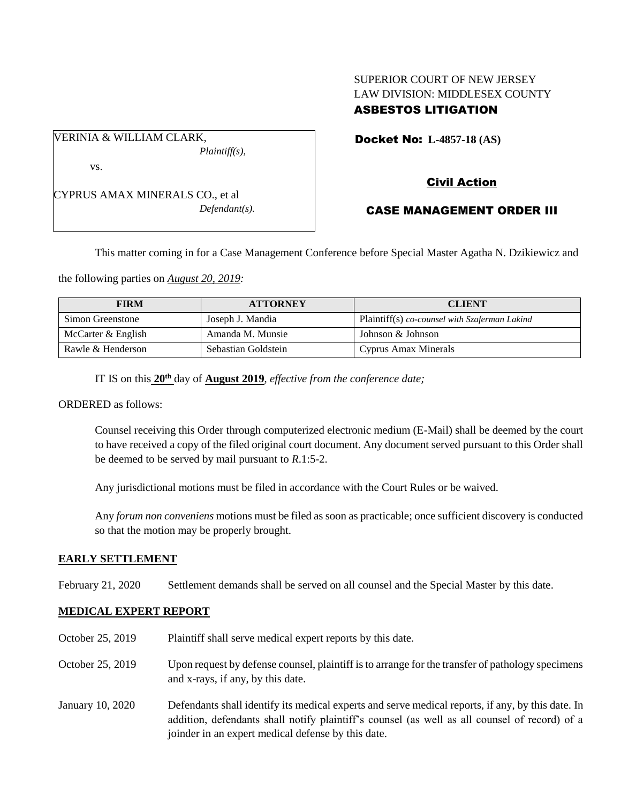# SUPERIOR COURT OF NEW JERSEY LAW DIVISION: MIDDLESEX COUNTY ASBESTOS LITIGATION

Docket No: **L-4857-18 (AS)** 

*Plaintiff(s),*

CYPRUS AMAX MINERALS CO., et al *Defendant(s).*

VERINIA & WILLIAM CLARK,

vs.

Civil Action

# CASE MANAGEMENT ORDER III

This matter coming in for a Case Management Conference before Special Master Agatha N. Dzikiewicz and

the following parties on *August 20, 2019:*

| <b>FIRM</b>        | <b>ATTORNEY</b>     | <b>CLIENT</b>                                 |
|--------------------|---------------------|-----------------------------------------------|
| Simon Greenstone   | Joseph J. Mandia    | Plaintiff(s) co-counsel with Szaferman Lakind |
| McCarter & English | Amanda M. Munsie    | Johnson & Johnson                             |
| Rawle & Henderson  | Sebastian Goldstein | Cyprus Amax Minerals                          |

IT IS on this  $20^{\text{th}}$  day of **August** 2019, *effective from the conference date*;

ORDERED as follows:

Counsel receiving this Order through computerized electronic medium (E-Mail) shall be deemed by the court to have received a copy of the filed original court document. Any document served pursuant to this Order shall be deemed to be served by mail pursuant to *R*.1:5-2.

Any jurisdictional motions must be filed in accordance with the Court Rules or be waived.

Any *forum non conveniens* motions must be filed as soon as practicable; once sufficient discovery is conducted so that the motion may be properly brought.

### **EARLY SETTLEMENT**

February 21, 2020 Settlement demands shall be served on all counsel and the Special Master by this date.

## **MEDICAL EXPERT REPORT**

| October 25, 2019 | Plaintiff shall serve medical expert reports by this date.                                                                                                                                                                                               |
|------------------|----------------------------------------------------------------------------------------------------------------------------------------------------------------------------------------------------------------------------------------------------------|
| October 25, 2019 | Upon request by defense counsel, plaintiff is to arrange for the transfer of pathology specimens<br>and x-rays, if any, by this date.                                                                                                                    |
| January 10, 2020 | Defendants shall identify its medical experts and serve medical reports, if any, by this date. In<br>addition, defendants shall notify plaintiff's counsel (as well as all counsel of record) of a<br>joinder in an expert medical defense by this date. |